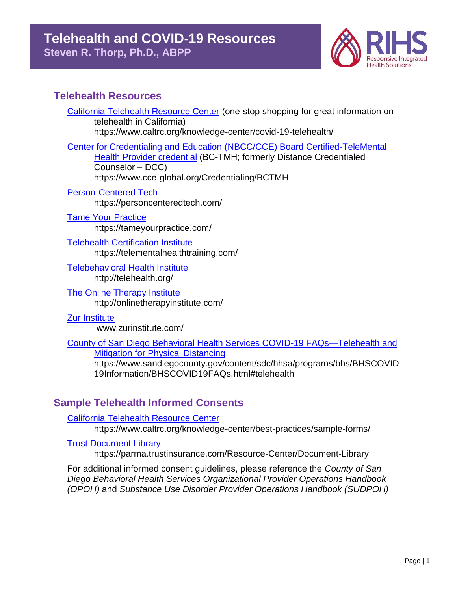

## **Telehealth Resources**

[California Telehealth Resource Center](https://www.caltrc.org/knowledge-center/covid-19-telehealth/) (one-stop shopping for great information on telehealth in California) https://www.caltrc.org/knowledge-center/covid-19-telehealth/

[Center for Credentialing and Education \(NBCC/CCE\)](https://www.cce-global.org/Credentialing/BCTMH) Board Certified-TeleMental [Health Provider credential](https://www.cce-global.org/Credentialing/BCTMH) (BC-TMH; formerly Distance Credentialed Counselor – DCC) https://www.cce-global.org/Credentialing/BCTMH

[Person-Centered Tech](https://personcenteredtech.com/) https://personcenteredtech.com/

[Tame Your Practice](https://tameyourpractice.com/) https://tameyourpractice.com/

[Telehealth Certification Institute](https://telementalhealthtraining.com/) https://telementalhealthtraining.com/

[Telebehavioral Health Institute](http://telehealth.org/) http://telehealth.org/

[The Online Therapy Institute](http://onlinetherapyinstitute.com/) http://onlinetherapyinstitute.com/

[Zur Institute](http://www.zurinstitute.com/)

www.zurinstitute.com/

County of San Diego [Behavioral Health Services COVID-19 FAQs—Telehealth and](https://www.sandiegocounty.gov/content/sdc/hhsa/programs/bhs/BHSCOVID19Information/BHSCOVID19FAQs.html#telehealth)  [Mitigation for Physical Distancing](https://www.sandiegocounty.gov/content/sdc/hhsa/programs/bhs/BHSCOVID19Information/BHSCOVID19FAQs.html#telehealth)

https://www.sandiegocounty.gov/content/sdc/hhsa/programs/bhs/BHSCOVID 19Information/BHSCOVID19FAQs.html#telehealth

# **Sample Telehealth Informed Consents**

[California Telehealth Resource Center](https://www.caltrc.org/knowledge-center/best-practices/sample-forms/) https://www.caltrc.org/knowledge-center/best-practices/sample-forms/

**[Trust Document Library](https://parma.trustinsurance.com/Resource-Center/Document-Library)** 

https://parma.trustinsurance.com/Resource-Center/Document-Library

For additional informed consent guidelines, please reference the *County of San Diego Behavioral Health Services Organizational Provider Operations Handbook (OPOH)* and *Substance Use Disorder Provider Operations Handbook (SUDPOH)*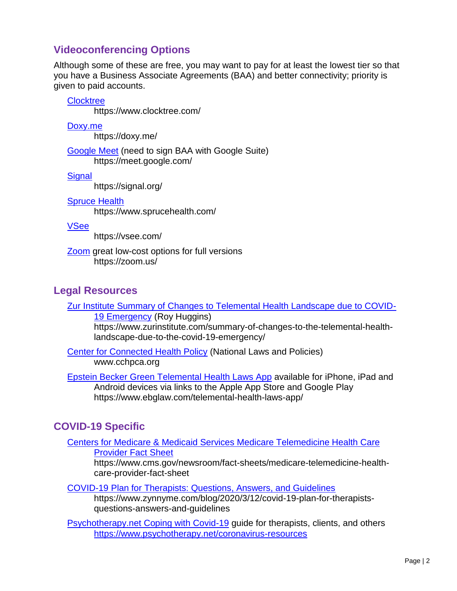## **Videoconferencing Options**

Although some of these are free, you may want to pay for at least the lowest tier so that you have a Business Associate Agreements (BAA) and better connectivity; priority is given to paid accounts.

#### **[Clocktree](https://www.clocktree.com/)**

https://www.clocktree.com/

[Doxy.me](https://doxy.me/)

https://doxy.me/

[Google Meet](https://meet.google.com/) (need to sign BAA with Google Suite) https://meet.google.com/

**[Signal](https://signal.org/)** 

https://signal.org/

#### [Spruce Health](https://www.sprucehealth.com/)

https://www.sprucehealth.com/

#### [VSee](https://vsee.com/)

https://vsee.com/

[Zoom](https://zoom.us/) great low-cost options for full versions https://zoom.us/

### **Legal Resources**

[Zur Institute Summary of Changes to Telemental Health Landscape due to COVID-](https://www.zurinstitute.com/summary-of-changes-to-the-telemental-health-landscape-due-to-the-covid-19-emergency/)[19 Emergency](https://www.zurinstitute.com/summary-of-changes-to-the-telemental-health-landscape-due-to-the-covid-19-emergency/) (Roy Huggins) https://www.zurinstitute.com/summary-of-changes-to-the-telemental-healthlandscape-due-to-the-covid-19-emergency/

**[Center for Connected Health Policy](http://www.cchpca.org/http:/www.cchpca.org/) (National Laws and Policies)** www.cchpca.org

[Epstein Becker Green Telemental Health Laws](https://www.ebglaw.com/telemental-health-laws-app/) App available for iPhone, iPad and Android devices via links to the Apple App Store and Google Play https://www.ebglaw.com/telemental-health-laws-app/

## **COVID-19 Specific**

[Centers for Medicare & Medicaid Services Medicare Telemedicine Health Care](https://www.psychotherapy.net/coronavirus-resources)  [Provider Fact Sheet](https://www.psychotherapy.net/coronavirus-resources)

https://www.cms.gov/newsroom/fact-sheets/medicare-telemedicine-healthcare-provider-fact-sheet

[COVID-19 Plan for Therapists: Questions, Answers, and Guidelines](https://www.zynnyme.com/blog/2020/3/12/covid-19-plan-for-therapists-questions-answers-and-guidelines)

https://www.zynnyme.com/blog/2020/3/12/covid-19-plan-for-therapistsquestions-answers-and-guidelines

[Psychotherapy.net Coping with Covid-19](https://www.psychotherapy.net/coronavirus-resources) guide for therapists, clients, and others <https://www.psychotherapy.net/coronavirus-resources>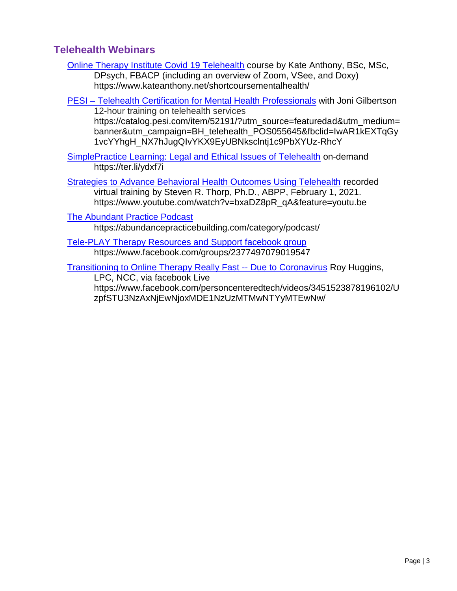## **Telehealth Webinars**

- [Online Therapy Institute](https://www.kateanthony.net/shortcoursementalhealth/) Covid 19 Telehealth course by Kate Anthony, BSc, MSc, DPsych, FBACP (including an overview of Zoom, VSee, and Doxy) https://www.kateanthony.net/shortcoursementalhealth/
- PESI [Telehealth Certification for Mental Health Professionals](https://catalog.pesi.com/item/52191/?utm_source=featuredad&utm_medium=banner&utm_campaign=BH_telehealth_POS055645&fbclid=IwAR1kEXTqGy1vcYYhgH_NX7hJugQIvYKX9EyUBNksclntj1c9PbXYUz-RhcY) with Joni Gilbertson 12-hour training on telehealth services

https://catalog.pesi.com/item/52191/?utm\_source=featuredad&utm\_medium= banner&utm\_campaign=BH\_telehealth\_POS055645&fbclid=IwAR1kEXTqGy 1vcYYhgH\_NX7hJugQIvYKX9EyUBNksclntj1c9PbXYUz-RhcY

SimplePractice [Learning: Legal and Ethical Issues of Telehealth](https://ter.li/ydxf7i) on-demand https://ter.li/ydxf7i

[Strategies to Advance Behavioral Health Outcomes Using Telehealth](https://www.youtube.com/watch?v=bxaDZ8pR_qA&feature=youtu.be) recorded virtual training by Steven R. Thorp, Ph.D., ABPP, February 1, 2021. https://www.youtube.com/watch?v=bxaDZ8pR\_qA&feature=youtu.be

[The Abundant Practice Podcast](https://abundancepracticebuilding.com/category/podcast/)

https://abundancepracticebuilding.com/category/podcast/

[Tele-PLAY Therapy Resources and Support](https://www.facebook.com/groups/2377497079019547) facebook group https://www.facebook.com/groups/2377497079019547

[Transitioning to Online Therapy Really Fast --](https://www.facebook.com/personcenteredtech/videos/3451523878196102/UzpfSTU3NzAxNjEwNjoxMDE1NzUzMTMwNTYyMTEwNw/) Due to Coronavirus Roy Huggins,

LPC, NCC, via facebook Live https://www.facebook.com/personcenteredtech/videos/3451523878196102/U zpfSTU3NzAxNjEwNjoxMDE1NzUzMTMwNTYyMTEwNw/